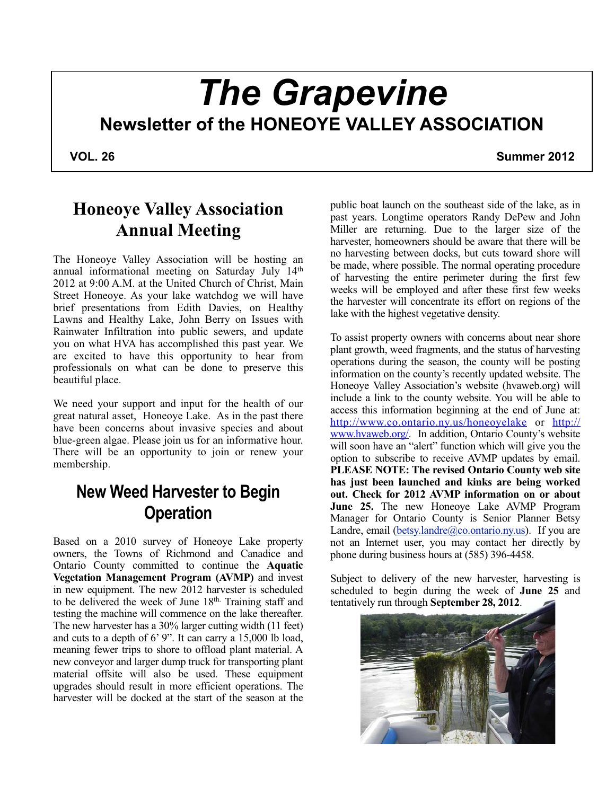# *The Grapevine* **Newsletter of the HONEOYE VALLEY ASSOCIATION**

**VOL. 26** Summer 2012

### **Honeoye Valley Association Annual Meeting**

The Honeoye Valley Association will be hosting an annual informational meeting on Saturday July 14th 2012 at 9:00 A.M. at the United Church of Christ, Main Street Honeoye. As your lake watchdog we will have brief presentations from Edith Davies, on Healthy Lawns and Healthy Lake, John Berry on Issues with Rainwater Infiltration into public sewers, and update you on what HVA has accomplished this past year. We are excited to have this opportunity to hear from professionals on what can be done to preserve this beautiful place.

We need your support and input for the health of our great natural asset, Honeoye Lake. As in the past there have been concerns about invasive species and about blue-green algae. Please join us for an informative hour. There will be an opportunity to join or renew your membership.

### **New Weed Harvester to Begin Operation**

Based on a 2010 survey of Honeoye Lake property owners, the Towns of Richmond and Canadice and Ontario County committed to continue the **Aquatic Vegetation Management Program (AVMP)** and invest in new equipment. The new 2012 harvester is scheduled to be delivered the week of June 18<sup>th.</sup> Training staff and testing the machine will commence on the lake thereafter. The new harvester has a 30% larger cutting width (11 feet) and cuts to a depth of 6' 9". It can carry a 15,000 lb load, meaning fewer trips to shore to offload plant material. A new conveyor and larger dump truck for transporting plant material offsite will also be used. These equipment upgrades should result in more efficient operations. The harvester will be docked at the start of the season at the public boat launch on the southeast side of the lake, as in past years. Longtime operators Randy DePew and John Miller are returning. Due to the larger size of the harvester, homeowners should be aware that there will be no harvesting between docks, but cuts toward shore will be made, where possible. The normal operating procedure of harvesting the entire perimeter during the first few weeks will be employed and after these first few weeks the harvester will concentrate its effort on regions of the lake with the highest vegetative density.

To assist property owners with concerns about near shore plant growth, weed fragments, and the status of harvesting operations during the season, the county will be posting information on the county's recently updated website. The Honeoye Valley Association's website (hvaweb.org) will include a link to the county website. You will be able to access this information beginning at the end of June at: http://www.co.ontario.ny.us/honeoyelake or http:// www.hvaweb.org/. In addition, Ontario County's website will soon have an "alert" function which will give you the option to subscribe to receive AVMP updates by email. **PLEASE NOTE: The revised Ontario County web site has just been launched and kinks are being worked out. Check for 2012 AVMP information on or about June 25.** The new Honeoye Lake AVMP Program Manager for Ontario County is Senior Planner Betsy Landre, email (betsy.landre@co.ontario.ny.us). If you are not an Internet user, you may contact her directly by phone during business hours at (585) 396-4458.

Subject to delivery of the new harvester, harvesting is scheduled to begin during the week of **June 25** and tentatively run through **September 28, 2012**.

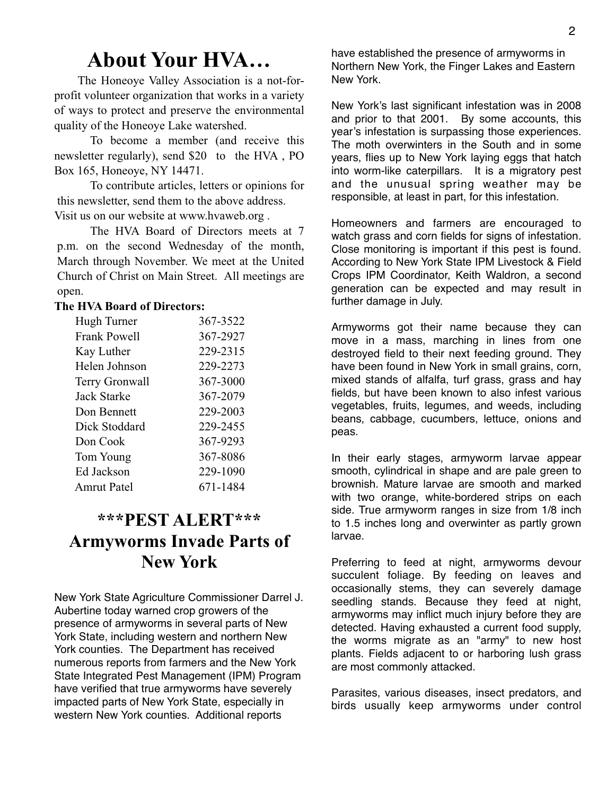# **About Your HVA…**

 The Honeoye Valley Association is a not-forprofit volunteer organization that works in a variety of ways to protect and preserve the environmental quality of the Honeoye Lake watershed.

 To become a member (and receive this newsletter regularly), send \$20 to the HVA , PO Box 165, Honeoye, NY 14471.

 To contribute articles, letters or opinions for this newsletter, send them to the above address. Visit us on our website at www.hvaweb.org .

 The HVA Board of Directors meets at 7 p.m. on the second Wednesday of the month, March through November. We meet at the United Church of Christ on Main Street. All meetings are open.

### **The HVA Board of Directors:**

| 367-3522 |
|----------|
| 367-2927 |
| 229-2315 |
| 229-2273 |
| 367-3000 |
| 367-2079 |
| 229-2003 |
| 229-2455 |
| 367-9293 |
| 367-8086 |
| 229-1090 |
| 671-1484 |
|          |

# **\*\*\*PEST ALERT\*\*\* Armyworms Invade Parts of New York**

New York State Agriculture Commissioner Darrel J. Aubertine today warned crop growers of the presence of armyworms in several parts of New York State, including western and northern New York counties. The Department has received numerous reports from farmers and the New York State Integrated Pest Management (IPM) Program have verified that true armyworms have severely impacted parts of New York State, especially in western New York counties.- Additional reports

have established the presence of armyworms in Northern New York, the Finger Lakes and Eastern New York.

New York's last significant infestation was in 2008 and prior to that 2001. By some accounts, this year's infestation is surpassing those experiences. The moth overwinters in the South and in some years, flies up to New York laying eggs that hatch into worm-like caterpillars. It is a migratory pest and the unusual spring weather may be responsible, at least in part, for this infestation.

Homeowners and farmers are encouraged to watch grass and corn fields for signs of infestation. Close monitoring is important if this pest is found.- According to New York State IPM Livestock & Field Crops IPM Coordinator, Keith Waldron, a second generation can be expected and may result in further damage in July.

Armyworms got their name because they can move in a mass, marching in lines from one destroyed field to their next feeding ground. They have been found in New York in small grains, corn, mixed stands of alfalfa, turf grass, grass and hay fields, but have been known to also infest various vegetables, fruits, legumes, and weeds, including beans, cabbage, cucumbers, lettuce, onions and peas.

In their early stages, armyworm larvae appear smooth, cylindrical in shape and are pale green to brownish. Mature larvae are smooth and marked with two orange, white-bordered strips on each side. True armyworm ranges in size from 1/8 inch to 1.5 inches long and overwinter as partly grown larvae.

Preferring to feed at night, armyworms devour succulent foliage. By feeding on leaves and occasionally stems, they can severely damage seedling stands. Because they feed at night, armyworms may inflict much injury before they are detected. Having exhausted a current food supply, the worms migrate as an "army" to new host plants. Fields adjacent to or harboring lush grass are most commonly attacked.

Parasites, various diseases, insect predators, and birds usually keep armyworms under control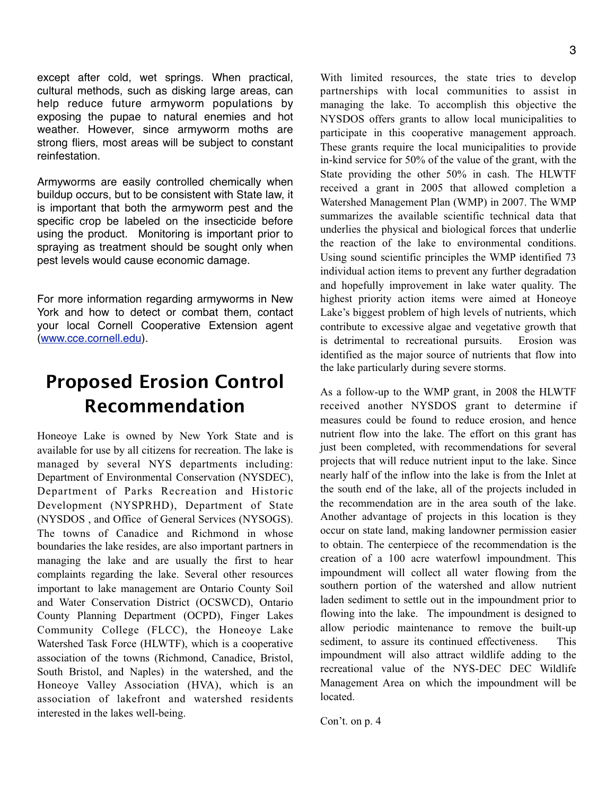except after cold, wet springs. When practical, cultural methods, such as disking large areas, can help reduce future armyworm populations by exposing the pupae to natural enemies and hot weather. However, since armyworm moths are strong fliers, most areas will be subject to constant reinfestation.

Armyworms are easily controlled chemically when buildup occurs, but to be consistent with State law, it is important that both the armyworm pest and the specific crop be labeled on the insecticide before using the product.- Monitoring is important prior to spraying as treatment should be sought only when pest levels would cause economic damage.

For more information regarding armyworms in New York and how to detect or combat them, contact your local Cornell Cooperative Extension agent (www.cce.cornell.edu).

# **Proposed Erosion Control Recommendation**

Honeoye Lake is owned by New York State and is available for use by all citizens for recreation. The lake is managed by several NYS departments including: Department of Environmental Conservation (NYSDEC), Department of Parks Recreation and Historic Development (NYSPRHD), Department of State (NYSDOS , and Office of General Services (NYSOGS). The towns of Canadice and Richmond in whose boundaries the lake resides, are also important partners in managing the lake and are usually the first to hear complaints regarding the lake. Several other resources important to lake management are Ontario County Soil and Water Conservation District (OCSWCD), Ontario County Planning Department (OCPD), Finger Lakes Community College (FLCC), the Honeoye Lake Watershed Task Force (HLWTF), which is a cooperative association of the towns (Richmond, Canadice, Bristol, South Bristol, and Naples) in the watershed, and the Honeoye Valley Association (HVA), which is an association of lakefront and watershed residents interested in the lakes well-being.

With limited resources, the state tries to develop partnerships with local communities to assist in managing the lake. To accomplish this objective the NYSDOS offers grants to allow local municipalities to participate in this cooperative management approach. These grants require the local municipalities to provide in-kind service for 50% of the value of the grant, with the State providing the other 50% in cash. The HLWTF received a grant in 2005 that allowed completion a Watershed Management Plan (WMP) in 2007. The WMP summarizes the available scientific technical data that underlies the physical and biological forces that underlie the reaction of the lake to environmental conditions. Using sound scientific principles the WMP identified 73 individual action items to prevent any further degradation and hopefully improvement in lake water quality. The highest priority action items were aimed at Honeoye Lake's biggest problem of high levels of nutrients, which contribute to excessive algae and vegetative growth that is detrimental to recreational pursuits. Erosion was identified as the major source of nutrients that flow into the lake particularly during severe storms.

As a follow-up to the WMP grant, in 2008 the HLWTF received another NYSDOS grant to determine if measures could be found to reduce erosion, and hence nutrient flow into the lake. The effort on this grant has just been completed, with recommendations for several projects that will reduce nutrient input to the lake. Since nearly half of the inflow into the lake is from the Inlet at the south end of the lake, all of the projects included in the recommendation are in the area south of the lake. Another advantage of projects in this location is they occur on state land, making landowner permission easier to obtain. The centerpiece of the recommendation is the creation of a 100 acre waterfowl impoundment. This impoundment will collect all water flowing from the southern portion of the watershed and allow nutrient laden sediment to settle out in the impoundment prior to flowing into the lake. The impoundment is designed to allow periodic maintenance to remove the built-up sediment, to assure its continued effectiveness. This impoundment will also attract wildlife adding to the recreational value of the NYS-DEC DEC Wildlife Management Area on which the impoundment will be located.

Con't. on p. 4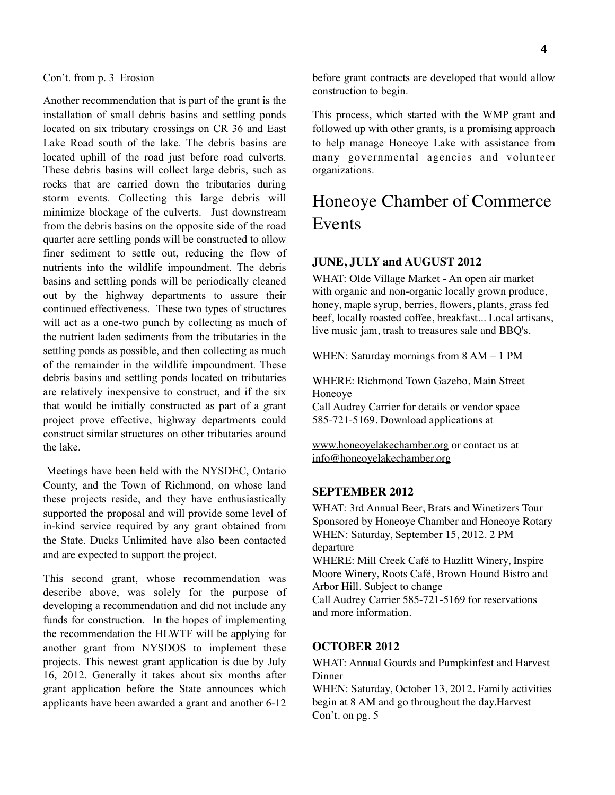Con't. from p. 3 Erosion

Another recommendation that is part of the grant is the installation of small debris basins and settling ponds located on six tributary crossings on CR 36 and East Lake Road south of the lake. The debris basins are located uphill of the road just before road culverts. These debris basins will collect large debris, such as rocks that are carried down the tributaries during storm events. Collecting this large debris will minimize blockage of the culverts. Just downstream from the debris basins on the opposite side of the road quarter acre settling ponds will be constructed to allow finer sediment to settle out, reducing the flow of nutrients into the wildlife impoundment. The debris basins and settling ponds will be periodically cleaned out by the highway departments to assure their continued effectiveness. These two types of structures will act as a one-two punch by collecting as much of the nutrient laden sediments from the tributaries in the settling ponds as possible, and then collecting as much of the remainder in the wildlife impoundment. These debris basins and settling ponds located on tributaries are relatively inexpensive to construct, and if the six that would be initially constructed as part of a grant project prove effective, highway departments could construct similar structures on other tributaries around the lake.

 Meetings have been held with the NYSDEC, Ontario County, and the Town of Richmond, on whose land these projects reside, and they have enthusiastically supported the proposal and will provide some level of in-kind service required by any grant obtained from the State. Ducks Unlimited have also been contacted and are expected to support the project.

This second grant, whose recommendation was describe above, was solely for the purpose of developing a recommendation and did not include any funds for construction. In the hopes of implementing the recommendation the HLWTF will be applying for another grant from NYSDOS to implement these projects. This newest grant application is due by July 16, 2012. Generally it takes about six months after grant application before the State announces which applicants have been awarded a grant and another 6-12

before grant contracts are developed that would allow construction to begin.

This process, which started with the WMP grant and followed up with other grants, is a promising approach to help manage Honeoye Lake with assistance from many governmental agencies and volunteer organizations.

## Honeoye Chamber of Commerce Events

### **JUNE, JULY and AUGUST 2012**

WHAT: Olde Village Market - An open air market with organic and non-organic locally grown produce, honey, maple syrup, berries, flowers, plants, grass fed beef, locally roasted coffee, breakfast... Local artisans, live music jam, trash to treasures sale and BBQ's.

WHEN: Saturday mornings from 8 AM – 1 PM

WHERE: Richmond Town Gazebo, Main Street Honeoye

Call Audrey Carrier for details or vendor space 585-721-5169. Download applications at

www.honeoyelakechamber.org or contact us at info@honeoyelakechamber.org

### **SEPTEMBER 2012**

WHAT: 3rd Annual Beer, Brats and Winetizers Tour Sponsored by Honeoye Chamber and Honeoye Rotary WHEN: Saturday, September 15, 2012. 2 PM departure

WHERE: Mill Creek Café to Hazlitt Winery, Inspire Moore Winery, Roots Café, Brown Hound Bistro and Arbor Hill. Subject to change

Call Audrey Carrier 585-721-5169 for reservations and more information.

### **OCTOBER 2012**

WHAT: Annual Gourds and Pumpkinfest and Harvest Dinner

WHEN: Saturday, October 13, 2012. Family activities begin at 8 AM and go throughout the day.Harvest Con't. on pg. 5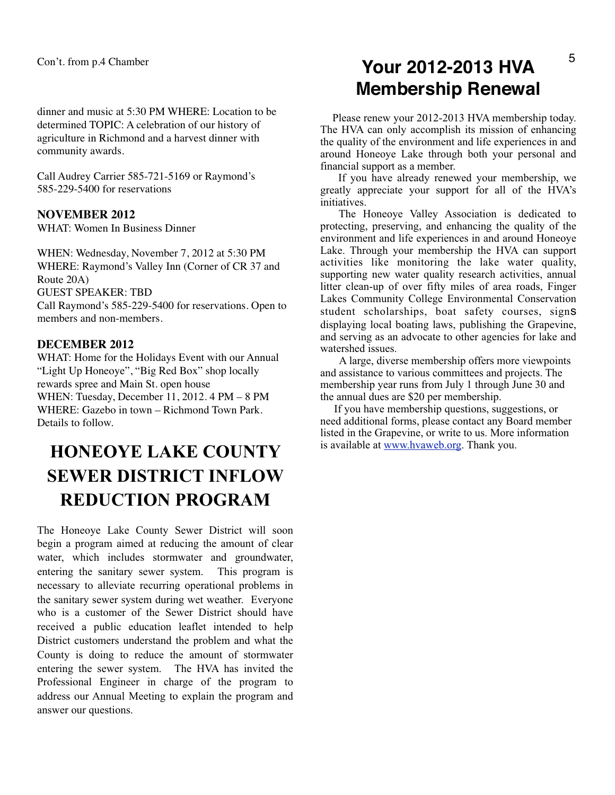dinner and music at 5:30 PM WHERE: Location to be determined TOPIC: A celebration of our history of agriculture in Richmond and a harvest dinner with community awards.

Call Audrey Carrier 585-721-5169 or Raymond's 585-229-5400 for reservations

### **NOVEMBER 2012**

WHAT: Women In Business Dinner

WHEN: Wednesday, November 7, 2012 at 5:30 PM WHERE: Raymond's Valley Inn (Corner of CR 37 and Route 20A) GUEST SPEAKER: TBD Call Raymond's 585-229-5400 for reservations. Open to members and non-members.

### **DECEMBER 2012**

WHAT: Home for the Holidays Event with our Annual "Light Up Honeoye", "Big Red Box" shop locally rewards spree and Main St. open house WHEN: Tuesday, December 11, 2012. 4 PM – 8 PM WHERE: Gazebo in town – Richmond Town Park. Details to follow.

# **HONEOYE LAKE COUNTY SEWER DISTRICT INFLOW REDUCTION PROGRAM**

The Honeoye Lake County Sewer District will soon begin a program aimed at reducing the amount of clear water, which includes stormwater and groundwater, entering the sanitary sewer system. This program is necessary to alleviate recurring operational problems in the sanitary sewer system during wet weather. Everyone who is a customer of the Sewer District should have received a public education leaflet intended to help District customers understand the problem and what the County is doing to reduce the amount of stormwater entering the sewer system. The HVA has invited the Professional Engineer in charge of the program to address our Annual Meeting to explain the program and answer our questions.

# **Your 2012-2013 HVA Membership Renewal**

Please renew your 2012-2013 HVA membership today. The HVA can only accomplish its mission of enhancing the quality of the environment and life experiences in and around Honeoye Lake through both your personal and financial support as a member.

 If you have already renewed your membership, we greatly appreciate your support for all of the HVA's initiatives.

 The Honeoye Valley Association is dedicated to protecting, preserving, and enhancing the quality of the environment and life experiences in and around Honeoye Lake. Through your membership the HVA can support activities like monitoring the lake water quality, supporting new water quality research activities, annual litter clean-up of over fifty miles of area roads, Finger Lakes Community College Environmental Conservation student scholarships, boat safety courses, signs displaying local boating laws, publishing the Grapevine, and serving as an advocate to other agencies for lake and watershed issues.

 A large, diverse membership offers more viewpoints and assistance to various committees and projects. The membership year runs from July 1 through June 30 and the annual dues are \$20 per membership.

 If you have membership questions, suggestions, or need additional forms, please contact any Board member listed in the Grapevine, or write to us. More information is available at www.hvaweb.org. Thank you.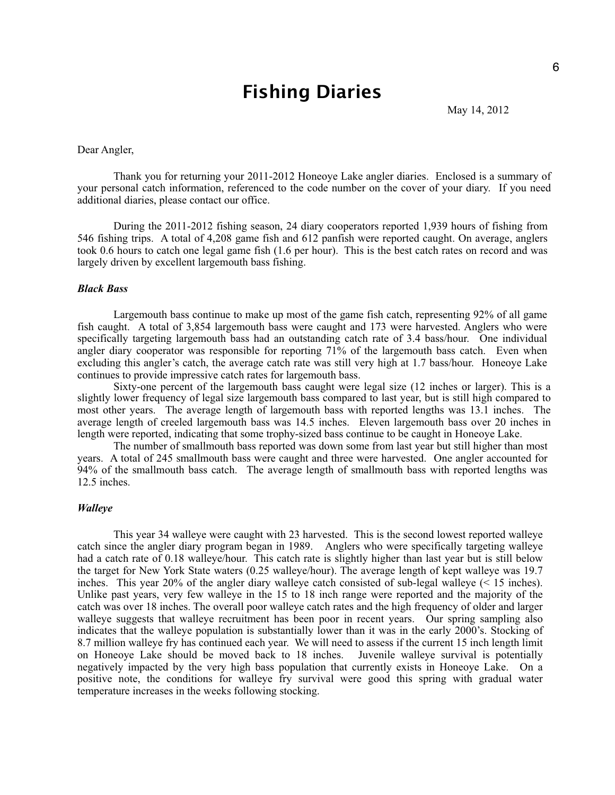# **Fishing Diaries**

May 14, 2012

#### Dear Angler,

Thank you for returning your 2011-2012 Honeoye Lake angler diaries. Enclosed is a summary of your personal catch information, referenced to the code number on the cover of your diary. If you need additional diaries, please contact our office.

During the 2011-2012 fishing season, 24 diary cooperators reported 1,939 hours of fishing from 546 fishing trips. A total of 4,208 game fish and 612 panfish were reported caught. On average, anglers took 0.6 hours to catch one legal game fish (1.6 per hour). This is the best catch rates on record and was largely driven by excellent largemouth bass fishing.

#### *Black Bass*

Largemouth bass continue to make up most of the game fish catch, representing 92% of all game fish caught. A total of 3,854 largemouth bass were caught and 173 were harvested. Anglers who were specifically targeting largemouth bass had an outstanding catch rate of 3.4 bass/hour. One individual angler diary cooperator was responsible for reporting 71% of the largemouth bass catch. Even when excluding this angler's catch, the average catch rate was still very high at 1.7 bass/hour. Honeoye Lake continues to provide impressive catch rates for largemouth bass.

Sixty-one percent of the largemouth bass caught were legal size (12 inches or larger). This is a slightly lower frequency of legal size largemouth bass compared to last year, but is still high compared to most other years. The average length of largemouth bass with reported lengths was 13.1 inches. The average length of creeled largemouth bass was 14.5 inches. Eleven largemouth bass over 20 inches in length were reported, indicating that some trophy-sized bass continue to be caught in Honeoye Lake.

The number of smallmouth bass reported was down some from last year but still higher than most years. A total of 245 smallmouth bass were caught and three were harvested. One angler accounted for 94% of the smallmouth bass catch. The average length of smallmouth bass with reported lengths was 12.5 inches.

#### *Walleye*

This year 34 walleye were caught with 23 harvested. This is the second lowest reported walleye catch since the angler diary program began in 1989. Anglers who were specifically targeting walleye had a catch rate of 0.18 walleye/hour. This catch rate is slightly higher than last year but is still below the target for New York State waters (0.25 walleye/hour). The average length of kept walleye was 19.7 inches. This year 20% of the angler diary walleye catch consisted of sub-legal walleye (< 15 inches). Unlike past years, very few walleye in the 15 to 18 inch range were reported and the majority of the catch was over 18 inches. The overall poor walleye catch rates and the high frequency of older and larger walleye suggests that walleye recruitment has been poor in recent years. Our spring sampling also indicates that the walleye population is substantially lower than it was in the early 2000's. Stocking of 8.7 million walleye fry has continued each year. We will need to assess if the current 15 inch length limit on Honeoye Lake should be moved back to 18 inches. Juvenile walleye survival is potentially negatively impacted by the very high bass population that currently exists in Honeoye Lake. On a positive note, the conditions for walleye fry survival were good this spring with gradual water temperature increases in the weeks following stocking.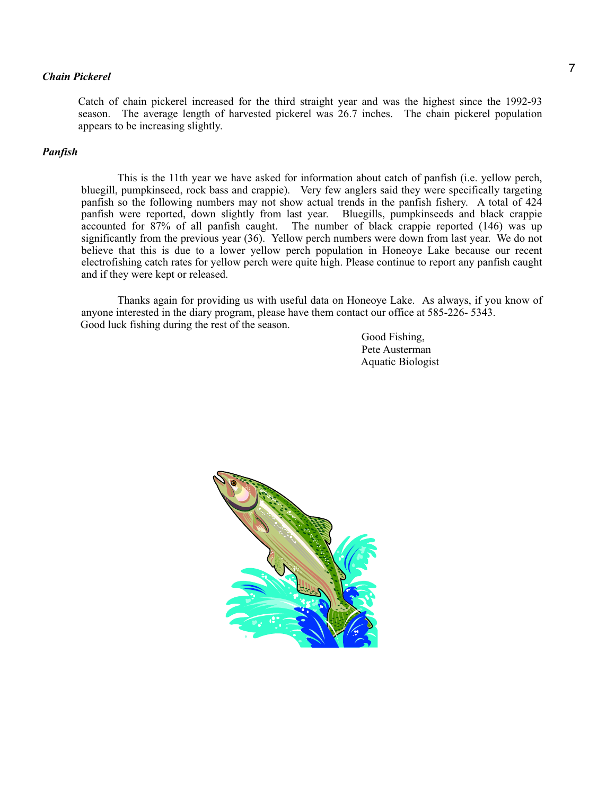### *Chain Pickerel*

Catch of chain pickerel increased for the third straight year and was the highest since the 1992-93 season. The average length of harvested pickerel was 26.7 inches. The chain pickerel population appears to be increasing slightly.

### *Panfish*

This is the 11th year we have asked for information about catch of panfish (i.e. yellow perch, bluegill, pumpkinseed, rock bass and crappie). Very few anglers said they were specifically targeting panfish so the following numbers may not show actual trends in the panfish fishery. A total of 424 panfish were reported, down slightly from last year. Bluegills, pumpkinseeds and black crappie accounted for 87% of all panfish caught. The number of black crappie reported (146) was up significantly from the previous year (36). Yellow perch numbers were down from last year. We do not believe that this is due to a lower yellow perch population in Honeoye Lake because our recent electrofishing catch rates for yellow perch were quite high. Please continue to report any panfish caught and if they were kept or released.

Thanks again for providing us with useful data on Honeoye Lake. As always, if you know of anyone interested in the diary program, please have them contact our office at 585-226- 5343. Good luck fishing during the rest of the season.

> Good Fishing, Pete Austerman Aquatic Biologist